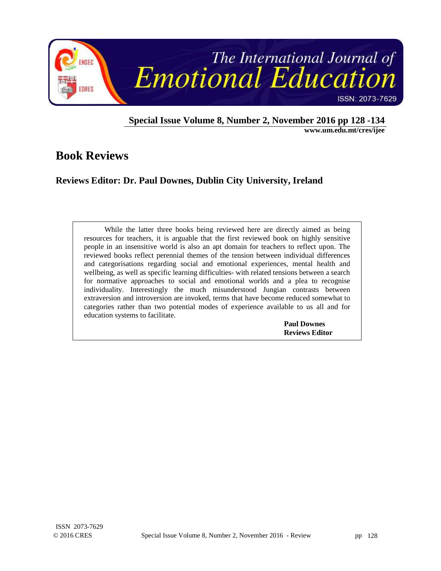

**Special Issue Volume 8, Number 2, November 2016 pp 128 -134 www.um.edu.mt/cres/ijee** 

# **Book Reviews**

## **Reviews Editor: Dr. Paul Downes, Dublin City University, Ireland**

While the latter three books being reviewed here are directly aimed as being resources for teachers, it is arguable that the first reviewed book on highly sensitive people in an insensitive world is also an apt domain for teachers to reflect upon. The reviewed books reflect perennial themes of the tension between individual differences and categorisations regarding social and emotional experiences, mental health and wellbeing, as well as specific learning difficulties- with related tensions between a search for normative approaches to social and emotional worlds and a plea to recognise individuality. Interestingly the much misunderstood Jungian contrasts between extraversion and introversion are invoked, terms that have become reduced somewhat to categories rather than two potential modes of experience available to us all and for education systems to facilitate.

 **Paul Downes Reviews Editor**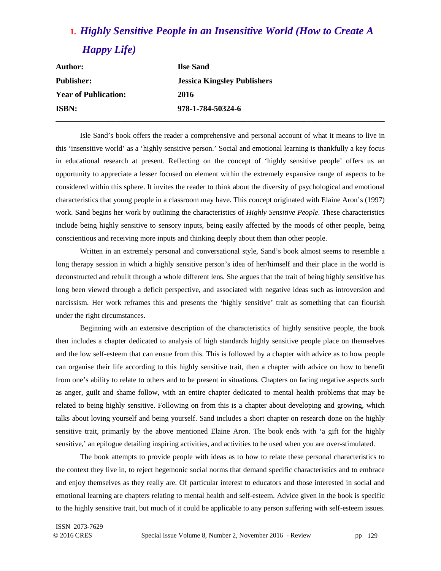# **1.** *Highly Sensitive People in an Insensitive World (How to Create A Happy Life)*

| <b>Author:</b>              | <b>Ilse Sand</b>                   |  |
|-----------------------------|------------------------------------|--|
| <b>Publisher:</b>           | <b>Jessica Kingsley Publishers</b> |  |
| <b>Year of Publication:</b> | 2016                               |  |
| <b>ISBN:</b>                | 978-1-784-50324-6                  |  |
|                             |                                    |  |

Isle Sand's book offers the reader a comprehensive and personal account of what it means to live in this 'insensitive world' as a 'highly sensitive person.' Social and emotional learning is thankfully a key focus in educational research at present. Reflecting on the concept of 'highly sensitive people' offers us an opportunity to appreciate a lesser focused on element within the extremely expansive range of aspects to be considered within this sphere. It invites the reader to think about the diversity of psychological and emotional characteristics that young people in a classroom may have. This concept originated with Elaine Aron's (1997) work. Sand begins her work by outlining the characteristics of *Highly Sensitive People*. These characteristics include being highly sensitive to sensory inputs, being easily affected by the moods of other people, being conscientious and receiving more inputs and thinking deeply about them than other people.

Written in an extremely personal and conversational style, Sand's book almost seems to resemble a long therapy session in which a highly sensitive person's idea of her/himself and their place in the world is deconstructed and rebuilt through a whole different lens. She argues that the trait of being highly sensitive has long been viewed through a deficit perspective, and associated with negative ideas such as introversion and narcissism. Her work reframes this and presents the 'highly sensitive' trait as something that can flourish under the right circumstances.

Beginning with an extensive description of the characteristics of highly sensitive people, the book then includes a chapter dedicated to analysis of high standards highly sensitive people place on themselves and the low self-esteem that can ensue from this. This is followed by a chapter with advice as to how people can organise their life according to this highly sensitive trait, then a chapter with advice on how to benefit from one's ability to relate to others and to be present in situations. Chapters on facing negative aspects such as anger, guilt and shame follow, with an entire chapter dedicated to mental health problems that may be related to being highly sensitive. Following on from this is a chapter about developing and growing, which talks about loving yourself and being yourself. Sand includes a short chapter on research done on the highly sensitive trait, primarily by the above mentioned Elaine Aron. The book ends with 'a gift for the highly sensitive,' an epilogue detailing inspiring activities, and activities to be used when you are over-stimulated.

The book attempts to provide people with ideas as to how to relate these personal characteristics to the context they live in, to reject hegemonic social norms that demand specific characteristics and to embrace and enjoy themselves as they really are. Of particular interest to educators and those interested in social and emotional learning are chapters relating to mental health and self-esteem. Advice given in the book is specific to the highly sensitive trait, but much of it could be applicable to any person suffering with self-esteem issues.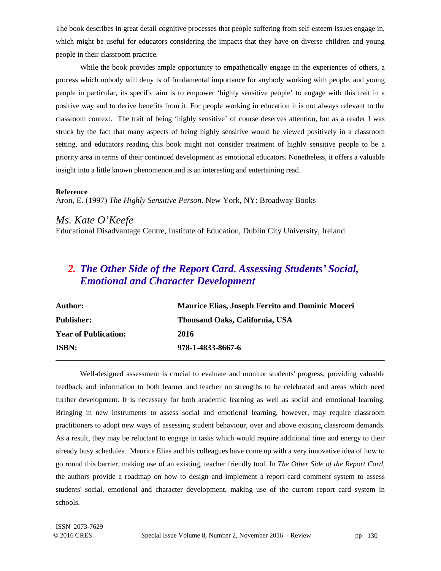The book describes in great detail cognitive processes that people suffering from self-esteem issues engage in, which might be useful for educators considering the impacts that they have on diverse children and young people in their classroom practice.

While the book provides ample opportunity to empathetically engage in the experiences of others, a process which nobody will deny is of fundamental importance for anybody working with people, and young people in particular, its specific aim is to empower 'highly sensitive people' to engage with this trait in a positive way and to derive benefits from it. For people working in education it is not always relevant to the classroom context. The trait of being 'highly sensitive' of course deserves attention, but as a reader I was struck by the fact that many aspects of being highly sensitive would be viewed positively in a classroom setting, and educators reading this book might not consider treatment of highly sensitive people to be a priority area in terms of their continued development as emotional educators. Nonetheless, it offers a valuable insight into a little known phenomenon and is an interesting and entertaining read.

#### **Reference**

Aron, E. (1997) *The Highly Sensitive Person*. New York, NY: Broadway Books

#### *Ms. Kate O'Keefe*

Educational Disadvantage Centre, Institute of Education, Dublin City University, Ireland

# *2. The Other Side of the Report Card. Assessing Students' Social, Emotional and Character Development*

| <b>Author:</b>              | <b>Maurice Elias, Joseph Ferrito and Dominic Moceri</b> |
|-----------------------------|---------------------------------------------------------|
| <b>Publisher:</b>           | Thousand Oaks, California, USA                          |
| <b>Year of Publication:</b> | 2016                                                    |
| <b>ISBN:</b>                | 978-1-4833-8667-6                                       |
|                             |                                                         |

Well-designed assessment is crucial to evaluate and monitor students' progress, providing valuable feedback and information to both learner and teacher on strengths to be celebrated and areas which need further development. It is necessary for both academic learning as well as social and emotional learning. Bringing in new instruments to assess social and emotional learning, however, may require classroom practitioners to adopt new ways of assessing student behaviour, over and above existing classroom demands. As a result, they may be reluctant to engage in tasks which would require additional time and energy to their already busy schedules. Maurice Elias and his colleagues have come up with a very innovative idea of how to go round this barrier, making use of an existing, teacher friendly tool. In *The Other Side of the Report Card,*  the authors provide a roadmap on how to design and implement a report card comment system to assess students' social, emotional and character development, making use of the current report card system in schools.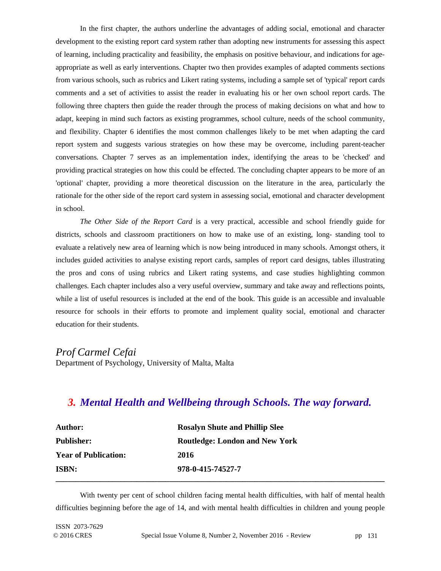In the first chapter, the authors underline the advantages of adding social, emotional and character development to the existing report card system rather than adopting new instruments for assessing this aspect of learning, including practicality and feasibility, the emphasis on positive behaviour, and indications for ageappropriate as well as early interventions. Chapter two then provides examples of adapted comments sections from various schools, such as rubrics and Likert rating systems, including a sample set of 'typical' report cards comments and a set of activities to assist the reader in evaluating his or her own school report cards. The following three chapters then guide the reader through the process of making decisions on what and how to adapt, keeping in mind such factors as existing programmes, school culture, needs of the school community, and flexibility. Chapter 6 identifies the most common challenges likely to be met when adapting the card report system and suggests various strategies on how these may be overcome, including parent-teacher conversations. Chapter 7 serves as an implementation index, identifying the areas to be 'checked' and providing practical strategies on how this could be effected. The concluding chapter appears to be more of an 'optional' chapter, providing a more theoretical discussion on the literature in the area, particularly the rationale for the other side of the report card system in assessing social, emotional and character development in school.

*The Other Side of the Report Card* is a very practical, accessible and school friendly guide for districts, schools and classroom practitioners on how to make use of an existing, long- standing tool to evaluate a relatively new area of learning which is now being introduced in many schools. Amongst others, it includes guided activities to analyse existing report cards, samples of report card designs, tables illustrating the pros and cons of using rubrics and Likert rating systems, and case studies highlighting common challenges. Each chapter includes also a very useful overview, summary and take away and reflections points, while a list of useful resources is included at the end of the book. This guide is an accessible and invaluable resource for schools in their efforts to promote and implement quality social, emotional and character education for their students.

#### *Prof Carmel Cefai*  Department of Psychology, University of Malta, Malta

### *3. Mental Health and Wellbeing through Schools. The way forward.*

| <b>Author:</b>              | <b>Rosalyn Shute and Phillip Slee</b> |  |
|-----------------------------|---------------------------------------|--|
| <b>Publisher:</b>           | <b>Routledge: London and New York</b> |  |
| <b>Year of Publication:</b> | 2016                                  |  |
| <b>ISBN:</b>                | 978-0-415-74527-7                     |  |
|                             |                                       |  |

With twenty per cent of school children facing mental health difficulties, with half of mental health difficulties beginning before the age of 14, and with mental health difficulties in children and young people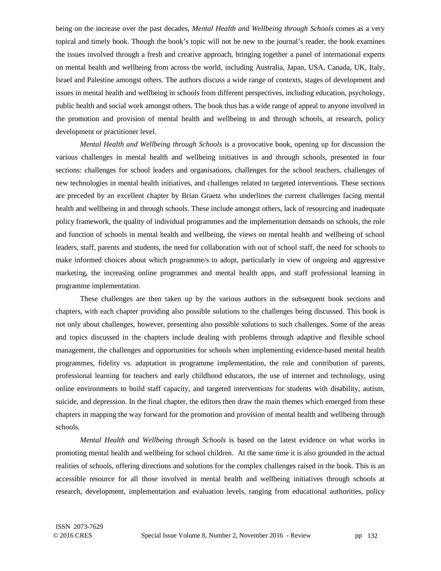being on the increase over the past decades, *Mental Health and Wellbeing through Schools* comes as a very topical and timely book. Though the book's topic will not be new to the journal's reader, the book examines the issues involved through a fresh and creative approach, bringing together a panel of international experts on mental health and wellbeing from across the world, including Australia, Japan, USA, Canada, UK, Italy, Israel and Palestine amongst others. The authors discuss a wide range of contexts, stages of development and issues in mental health and wellbeing in schools from different perspectives, including education, psychology, public health and social work amongst others. The book thus has a wide range of appeal to anyone involved in the promotion and provision of mental health and wellbeing in and through schools, at research, policy development or practitioner level.

*Mental Health and Wellbeing through Schools* is a provocative book, opening up for discussion the various challenges in mental health and wellbeing initiatives in and through schools, presented in four sections: challenges for school leaders and organisations, challenges for the school teachers, challenges of new technologies in mental health initiatives, and challenges related to targeted interventions. These sections are preceded by an excellent chapter by Brian Graetz who underlines the current challenges facing mental health and wellbeing in and through schools. These include amongst others, lack of resourcing and inadequate policy framework, the quality of individual programmes and the implementation demands on schools, the role and function of schools in mental health and wellbeing, the views on mental health and wellbeing of school leaders, staff, parents and students, the need for collaboration with out of school staff, the need for schools to make informed choices about which programme/s to adopt, particularly in view of ongoing and aggressive marketing, the increasing online programmes and mental health apps, and staff professional learning in programme implementation.

These challenges are then taken up by the various authors in the subsequent book sections and chapters, with each chapter providing also possible solutions to the challenges being discussed. This book is not only about challenges, however, presenting also possible solutions to such challenges. Some of the areas and topics discussed in the chapters include dealing with problems through adaptive and flexible school management, the challenges and opportunities for schools when implementing evidence-based mental health programmes, fidelity vs. adaptation in programme implementation, the role and contribution of parents, professional learning for teachers and early childhood educators, the use of internet and technology, using online environments to build staff capacity, and targeted interventions for students with disability, autism, suicide, and depression. In the final chapter, the editors then draw the main themes which emerged from these chapters in mapping the way forward for the promotion and provision of mental health and wellbeing through schools.

*Mental Health and Wellbeing through Schools* is based on the latest evidence on what works in promoting mental health and wellbeing for school children. At the same time it is also grounded in the actual realities of schools, offering directions and solutions for the complex challenges raised in the book. This is an accessible resource for all those involved in mental health and wellbeing initiatives through schools at research, development, implementation and evaluation levels, ranging from educational authorities, policy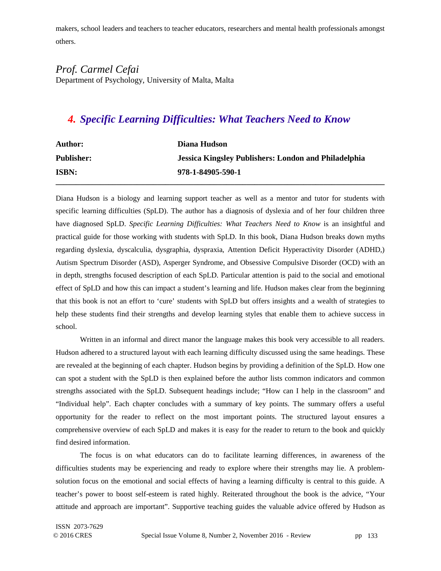makers, school leaders and teachers to teacher educators, researchers and mental health professionals amongst others.

#### *Prof. Carmel Cefai*  Department of Psychology, University of Malta, Malta

# *4. Specific Learning Difficulties: What Teachers Need to Know*

| <b>Author:</b>    | Diana Hudson                                                |
|-------------------|-------------------------------------------------------------|
| <b>Publisher:</b> | <b>Jessica Kingsley Publishers: London and Philadelphia</b> |
| <b>ISBN:</b>      | 978-1-84905-590-1                                           |
|                   |                                                             |

Diana Hudson is a biology and learning support teacher as well as a mentor and tutor for students with specific learning difficulties (SpLD). The author has a diagnosis of dyslexia and of her four children three have diagnosed SpLD. *Specific Learning Difficulties: What Teachers Need to Know* is an insightful and practical guide for those working with students with SpLD. In this book, Diana Hudson breaks down myths regarding dyslexia, dyscalculia, dysgraphia, dyspraxia, Attention Deficit Hyperactivity Disorder (ADHD,) Autism Spectrum Disorder (ASD), Asperger Syndrome, and Obsessive Compulsive Disorder (OCD) with an in depth, strengths focused description of each SpLD. Particular attention is paid to the social and emotional effect of SpLD and how this can impact a student's learning and life. Hudson makes clear from the beginning that this book is not an effort to 'cure' students with SpLD but offers insights and a wealth of strategies to help these students find their strengths and develop learning styles that enable them to achieve success in school.

Written in an informal and direct manor the language makes this book very accessible to all readers. Hudson adhered to a structured layout with each learning difficulty discussed using the same headings. These are revealed at the beginning of each chapter. Hudson begins by providing a definition of the SpLD. How one can spot a student with the SpLD is then explained before the author lists common indicators and common strengths associated with the SpLD. Subsequent headings include; "How can I help in the classroom" and "Individual help". Each chapter concludes with a summary of key points. The summary offers a useful opportunity for the reader to reflect on the most important points. The structured layout ensures a comprehensive overview of each SpLD and makes it is easy for the reader to return to the book and quickly find desired information.

The focus is on what educators can do to facilitate learning differences, in awareness of the difficulties students may be experiencing and ready to explore where their strengths may lie. A problemsolution focus on the emotional and social effects of having a learning difficulty is central to this guide. A teacher's power to boost self-esteem is rated highly. Reiterated throughout the book is the advice, "Your attitude and approach are important". Supportive teaching guides the valuable advice offered by Hudson as